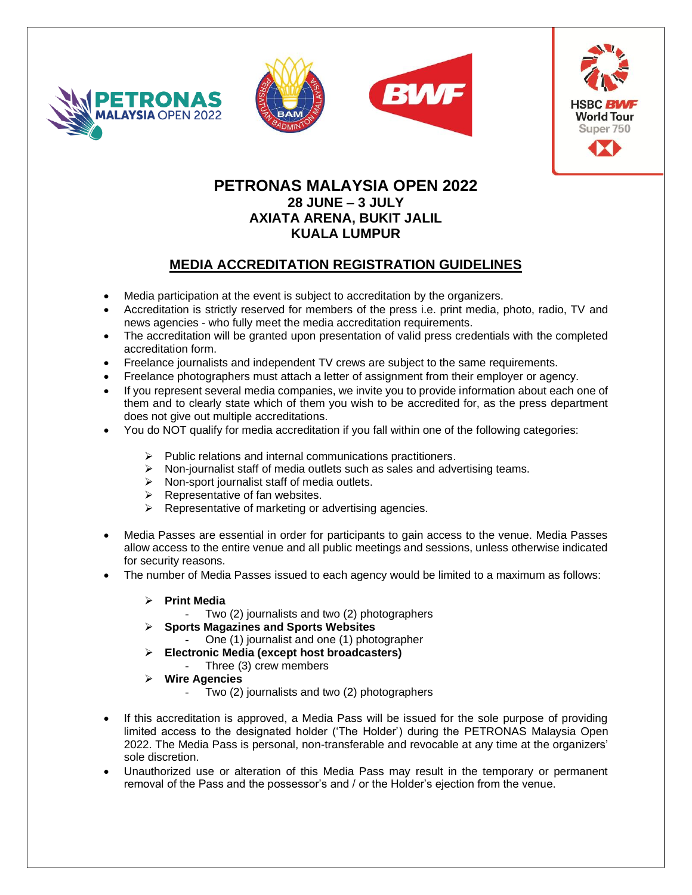







## **PETRONAS MALAYSIA OPEN 2022 28 JUNE – 3 JULY AXIATA ARENA, BUKIT JALIL KUALA LUMPUR**

### **MEDIA ACCREDITATION REGISTRATION GUIDELINES**

- Media participation at the event is subject to accreditation by the organizers.
- Accreditation is strictly reserved for members of the press i.e. print media, photo, radio, TV and news agencies - who fully meet the media accreditation requirements.
- The accreditation will be granted upon presentation of valid press credentials with the completed accreditation form.
- Freelance journalists and independent TV crews are subject to the same requirements.
- Freelance photographers must attach a letter of assignment from their employer or agency.
- If you represent several media companies, we invite you to provide information about each one of them and to clearly state which of them you wish to be accredited for, as the press department does not give out multiple accreditations.
- You do NOT qualify for media accreditation if you fall within one of the following categories:
	- ➢ Public relations and internal communications practitioners.
	- ➢ Non-journalist staff of media outlets such as sales and advertising teams.
	- ➢ Non-sport journalist staff of media outlets.
	- ➢ Representative of fan websites.
	- ➢ Representative of marketing or advertising agencies.
- Media Passes are essential in order for participants to gain access to the venue. Media Passes allow access to the entire venue and all public meetings and sessions, unless otherwise indicated for security reasons.
- The number of Media Passes issued to each agency would be limited to a maximum as follows:
	- ➢ **Print Media**
		- Two (2) journalists and two (2) photographers
	- ➢ **Sports Magazines and Sports Websites**
		- One (1) journalist and one (1) photographer
		- ➢ **Electronic Media (except host broadcasters)**
			- Three (3) crew members
	- ➢ **Wire Agencies**
		- Two (2) journalists and two (2) photographers
- If this accreditation is approved, a Media Pass will be issued for the sole purpose of providing limited access to the designated holder ('The Holder') during the PETRONAS Malaysia Open 2022. The Media Pass is personal, non-transferable and revocable at any time at the organizers' sole discretion.
- Unauthorized use or alteration of this Media Pass may result in the temporary or permanent removal of the Pass and the possessor's and / or the Holder's ejection from the venue.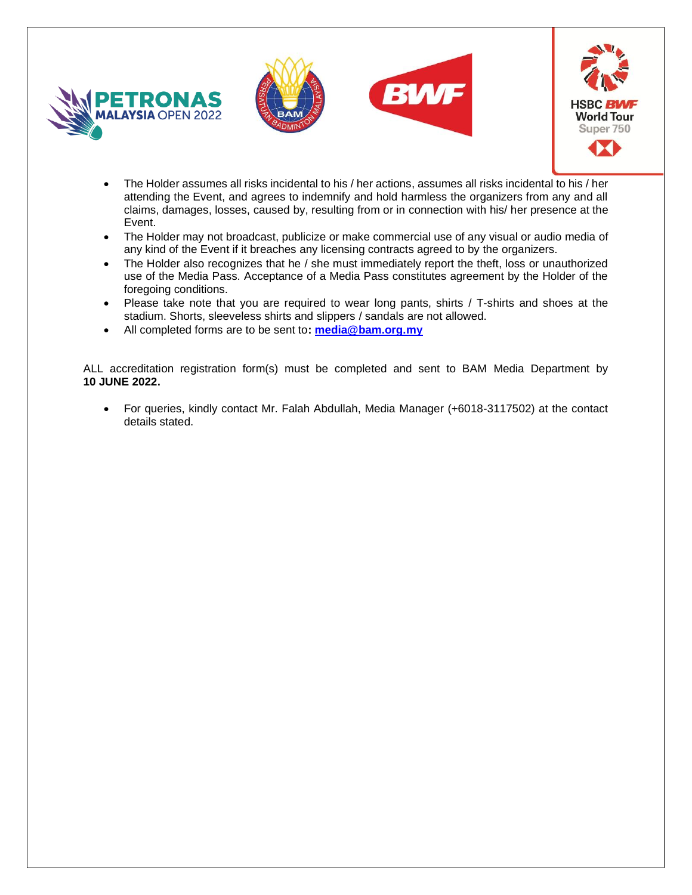







- The Holder assumes all risks incidental to his / her actions, assumes all risks incidental to his / her attending the Event, and agrees to indemnify and hold harmless the organizers from any and all claims, damages, losses, caused by, resulting from or in connection with his/ her presence at the Event.
- The Holder may not broadcast, publicize or make commercial use of any visual or audio media of any kind of the Event if it breaches any licensing contracts agreed to by the organizers.
- The Holder also recognizes that he / she must immediately report the theft, loss or unauthorized use of the Media Pass. Acceptance of a Media Pass constitutes agreement by the Holder of the foregoing conditions.
- Please take note that you are required to wear long pants, shirts / T-shirts and shoes at the stadium. Shorts, sleeveless shirts and slippers / sandals are not allowed.
- All completed forms are to be sent to**: [media@bam.org.my](mailto:media@bam.org.my)**

ALL accreditation registration form(s) must be completed and sent to BAM Media Department by **10 JUNE 2022.**

• For queries, kindly contact Mr. Falah Abdullah, Media Manager (+6018-3117502) at the contact details stated.